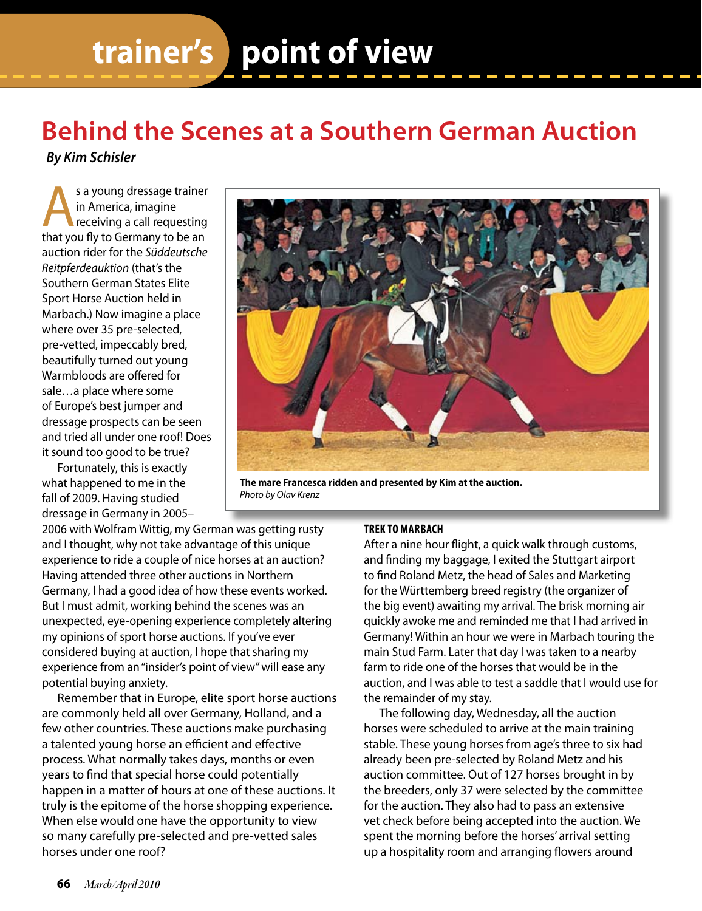# **trainer's point of view**

# **Behind the Scenes at a Southern German Auction**

*By Kim Schisler*

s a young dressage trainer<br>
in America, imagine<br>
receiving a call requesting<br>
that you fly to Germany to be an in America, imagine that you fly to Germany to be an auction rider for the *Süddeutsche Reitpferdeauktion* (that's the Southern German States Elite Sport Horse Auction held in Marbach.) Now imagine a place where over 35 pre-selected, pre-vetted, impeccably bred, beautifully turned out young Warmbloods are offered for sale…a place where some of Europe's best jumper and dressage prospects can be seen and tried all under one roof! Does it sound too good to be true?

Fortunately, this is exactly what happened to me in the fall of 2009. Having studied dressage in Germany in 2005–

**The mare Francesca ridden and presented by Kim at the auction.**  *Photo by Olav Krenz*

2006 with Wolfram Wittig, my German was getting rusty and I thought, why not take advantage of this unique experience to ride a couple of nice horses at an auction? Having attended three other auctions in Northern Germany, I had a good idea of how these events worked. But I must admit, working behind the scenes was an unexpected, eye-opening experience completely altering my opinions of sport horse auctions. If you've ever considered buying at auction, I hope that sharing my experience from an "insider's point of view" will ease any potential buying anxiety.

Remember that in Europe, elite sport horse auctions are commonly held all over Germany, Holland, and a few other countries. These auctions make purchasing a talented young horse an efficient and effective process. What normally takes days, months or even years to find that special horse could potentially happen in a matter of hours at one of these auctions. It truly is the epitome of the horse shopping experience. When else would one have the opportunity to view so many carefully pre-selected and pre-vetted sales horses under one roof?

## **Trek to Marbach**

After a nine hour flight, a quick walk through customs, and finding my baggage, I exited the Stuttgart airport to find Roland Metz, the head of Sales and Marketing for the Württemberg breed registry (the organizer of the big event) awaiting my arrival. The brisk morning air quickly awoke me and reminded me that I had arrived in Germany! Within an hour we were in Marbach touring the main Stud Farm. Later that day I was taken to a nearby farm to ride one of the horses that would be in the auction, and I was able to test a saddle that I would use for the remainder of my stay.

The following day, Wednesday, all the auction horses were scheduled to arrive at the main training stable. These young horses from age's three to six had already been pre-selected by Roland Metz and his auction committee. Out of 127 horses brought in by the breeders, only 37 were selected by the committee for the auction. They also had to pass an extensive vet check before being accepted into the auction. We spent the morning before the horses' arrival setting up a hospitality room and arranging flowers around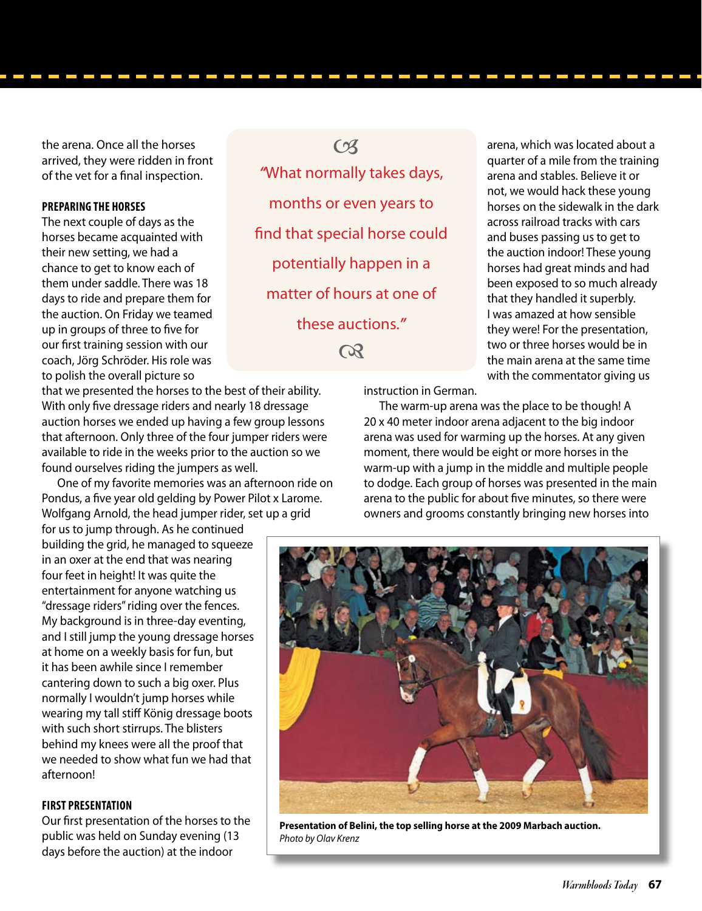the arena. Once all the horses arrived, they were ridden in front of the vet for a final inspection.

#### **Preparing the Horses**

The next couple of days as the horses became acquainted with their new setting, we had a chance to get to know each of them under saddle. There was 18 days to ride and prepare them for the auction. On Friday we teamed up in groups of three to five for our first training session with our coach, Jörg Schröder. His role was to polish the overall picture so

that we presented the horses to the best of their ability. With only five dressage riders and nearly 18 dressage auction horses we ended up having a few group lessons that afternoon. Only three of the four jumper riders were available to ride in the weeks prior to the auction so we found ourselves riding the jumpers as well.

One of my favorite memories was an afternoon ride on Pondus, a five year old gelding by Power Pilot x Larome. Wolfgang Arnold, the head jumper rider, set up a grid

for us to jump through. As he continued building the grid, he managed to squeeze in an oxer at the end that was nearing four feet in height! It was quite the entertainment for anyone watching us "dressage riders" riding over the fences. My background is in three-day eventing, and I still jump the young dressage horses at home on a weekly basis for fun, but it has been awhile since I remember cantering down to such a big oxer. Plus normally I wouldn't jump horses while wearing my tall stiff König dressage boots with such short stirrups. The blisters behind my knees were all the proof that we needed to show what fun we had that afternoon!

## **First Presentation**

Our first presentation of the horses to the public was held on Sunday evening (13 days before the auction) at the indoor

*"*What normally takes days, months or even years to find that special horse could potentially happen in a matter of hours at one of these auctions.*"*  $C<sub>3</sub>$  $\Omega$ 

instruction in German.

The warm-up arena was the place to be though! A 20 x 40 meter indoor arena adjacent to the big indoor arena was used for warming up the horses. At any given moment, there would be eight or more horses in the warm-up with a jump in the middle and multiple people to dodge. Each group of horses was presented in the main arena to the public for about five minutes, so there were owners and grooms constantly bringing new horses into

arena, which was located about a quarter of a mile from the training arena and stables. Believe it or not, we would hack these young horses on the sidewalk in the dark across railroad tracks with cars and buses passing us to get to the auction indoor! These young horses had great minds and had been exposed to so much already that they handled it superbly. I was amazed at how sensible they were! For the presentation, two or three horses would be in the main arena at the same time with the commentator giving us



**Presentation of Belini, the top selling horse at the 2009 Marbach auction.**  *Photo by Olav Krenz*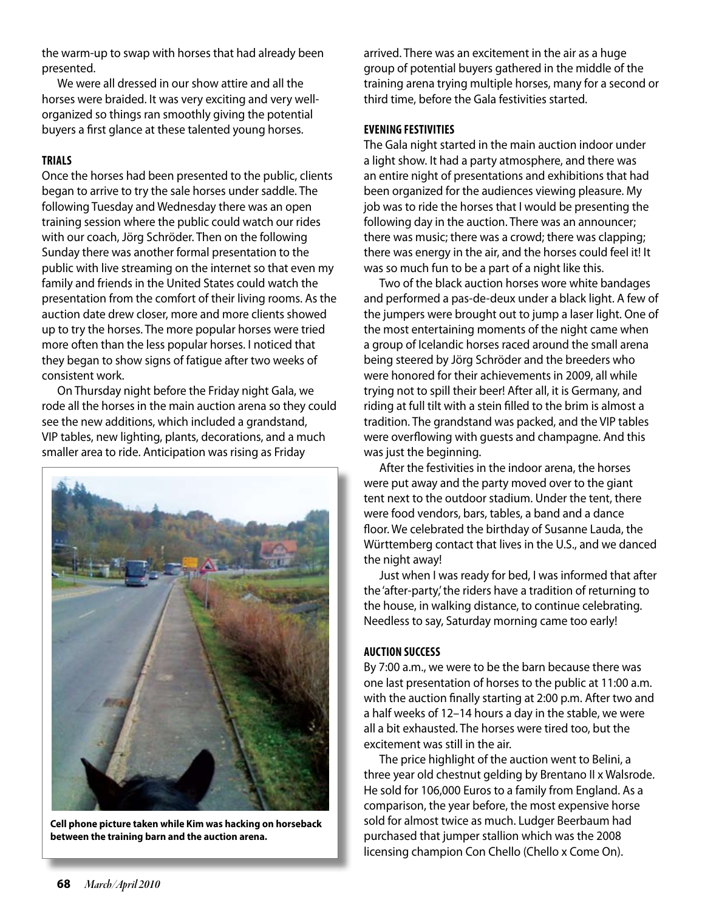the warm-up to swap with horses that had already been presented.

We were all dressed in our show attire and all the horses were braided. It was very exciting and very wellorganized so things ran smoothly giving the potential buyers a first glance at these talented young horses.

#### **Trials**

Once the horses had been presented to the public, clients began to arrive to try the sale horses under saddle. The following Tuesday and Wednesday there was an open training session where the public could watch our rides with our coach, Jörg Schröder. Then on the following Sunday there was another formal presentation to the public with live streaming on the internet so that even my family and friends in the United States could watch the presentation from the comfort of their living rooms. As the auction date drew closer, more and more clients showed up to try the horses. The more popular horses were tried more often than the less popular horses. I noticed that they began to show signs of fatigue after two weeks of consistent work.

On Thursday night before the Friday night Gala, we rode all the horses in the main auction arena so they could see the new additions, which included a grandstand, VIP tables, new lighting, plants, decorations, and a much smaller area to ride. Anticipation was rising as Friday



**Cell phone picture taken while Kim was hacking on horseback between the training barn and the auction arena.**

arrived. There was an excitement in the air as a huge group of potential buyers gathered in the middle of the training arena trying multiple horses, many for a second or third time, before the Gala festivities started.

#### **Evening Festivities**

The Gala night started in the main auction indoor under a light show. It had a party atmosphere, and there was an entire night of presentations and exhibitions that had been organized for the audiences viewing pleasure. My job was to ride the horses that I would be presenting the following day in the auction. There was an announcer; there was music; there was a crowd; there was clapping; there was energy in the air, and the horses could feel it! It was so much fun to be a part of a night like this.

Two of the black auction horses wore white bandages and performed a pas-de-deux under a black light. A few of the jumpers were brought out to jump a laser light. One of the most entertaining moments of the night came when a group of Icelandic horses raced around the small arena being steered by Jörg Schröder and the breeders who were honored for their achievements in 2009, all while trying not to spill their beer! After all, it is Germany, and riding at full tilt with a stein filled to the brim is almost a tradition. The grandstand was packed, and the VIP tables were overflowing with guests and champagne. And this was just the beginning.

After the festivities in the indoor arena, the horses were put away and the party moved over to the giant tent next to the outdoor stadium. Under the tent, there were food vendors, bars, tables, a band and a dance floor. We celebrated the birthday of Susanne Lauda, the Württemberg contact that lives in the U.S., and we danced the night away!

Just when I was ready for bed, I was informed that after the 'after-party,' the riders have a tradition of returning to the house, in walking distance, to continue celebrating. Needless to say, Saturday morning came too early!

## **Auction Success**

By 7:00 a.m., we were to be the barn because there was one last presentation of horses to the public at 11:00 a.m. with the auction finally starting at 2:00 p.m. After two and a half weeks of 12–14 hours a day in the stable, we were all a bit exhausted. The horses were tired too, but the excitement was still in the air.

The price highlight of the auction went to Belini, a three year old chestnut gelding by Brentano II x Walsrode. He sold for 106,000 Euros to a family from England. As a comparison, the year before, the most expensive horse sold for almost twice as much. Ludger Beerbaum had purchased that jumper stallion which was the 2008 licensing champion Con Chello (Chello x Come On).